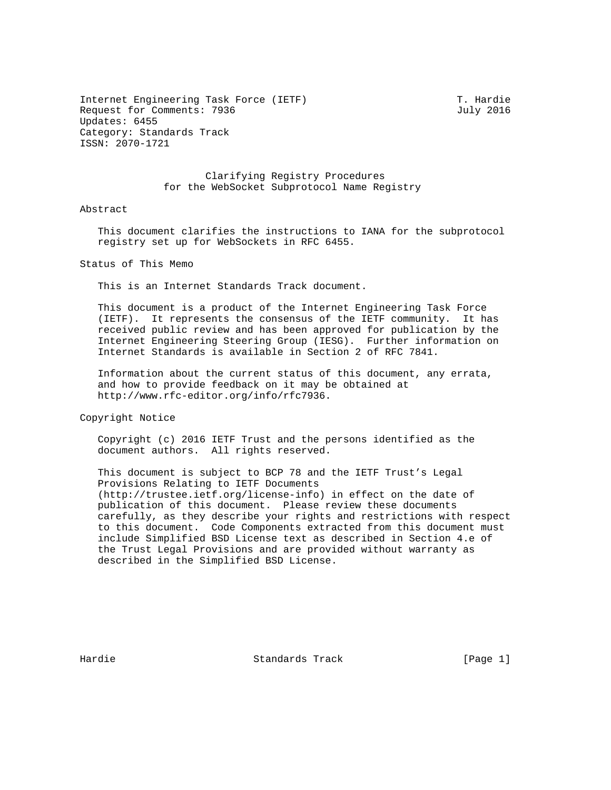Internet Engineering Task Force (IETF) T. Hardie Request for Comments: 7936 July 2016 Updates: 6455 Category: Standards Track ISSN: 2070-1721

 Clarifying Registry Procedures for the WebSocket Subprotocol Name Registry

## Abstract

 This document clarifies the instructions to IANA for the subprotocol registry set up for WebSockets in RFC 6455.

Status of This Memo

This is an Internet Standards Track document.

 This document is a product of the Internet Engineering Task Force (IETF). It represents the consensus of the IETF community. It has received public review and has been approved for publication by the Internet Engineering Steering Group (IESG). Further information on Internet Standards is available in Section 2 of RFC 7841.

 Information about the current status of this document, any errata, and how to provide feedback on it may be obtained at http://www.rfc-editor.org/info/rfc7936.

Copyright Notice

 Copyright (c) 2016 IETF Trust and the persons identified as the document authors. All rights reserved.

 This document is subject to BCP 78 and the IETF Trust's Legal Provisions Relating to IETF Documents (http://trustee.ietf.org/license-info) in effect on the date of publication of this document. Please review these documents carefully, as they describe your rights and restrictions with respect to this document. Code Components extracted from this document must include Simplified BSD License text as described in Section 4.e of the Trust Legal Provisions and are provided without warranty as described in the Simplified BSD License.

Hardie Standards Track [Page 1]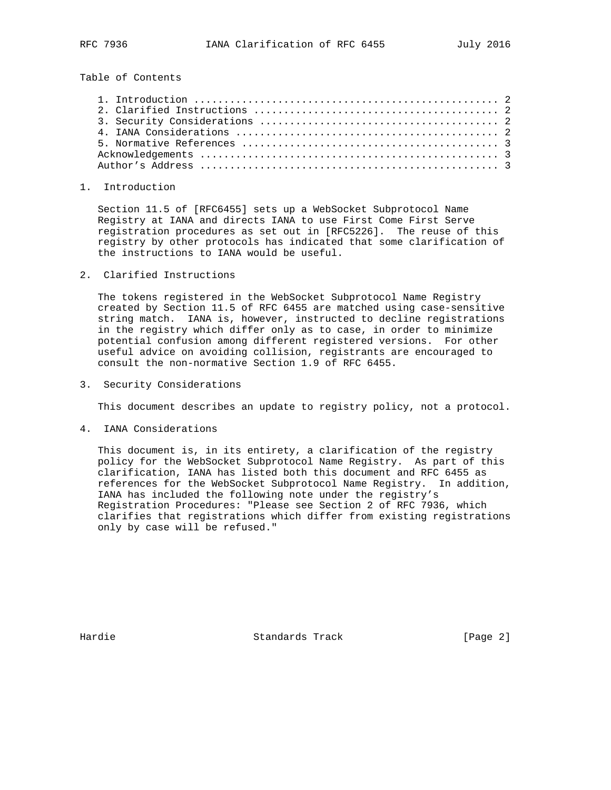Table of Contents

## 1. Introduction

 Section 11.5 of [RFC6455] sets up a WebSocket Subprotocol Name Registry at IANA and directs IANA to use First Come First Serve registration procedures as set out in [RFC5226]. The reuse of this registry by other protocols has indicated that some clarification of the instructions to IANA would be useful.

2. Clarified Instructions

 The tokens registered in the WebSocket Subprotocol Name Registry created by Section 11.5 of RFC 6455 are matched using case-sensitive string match. IANA is, however, instructed to decline registrations in the registry which differ only as to case, in order to minimize potential confusion among different registered versions. For other useful advice on avoiding collision, registrants are encouraged to consult the non-normative Section 1.9 of RFC 6455.

3. Security Considerations

This document describes an update to registry policy, not a protocol.

4. IANA Considerations

 This document is, in its entirety, a clarification of the registry policy for the WebSocket Subprotocol Name Registry. As part of this clarification, IANA has listed both this document and RFC 6455 as references for the WebSocket Subprotocol Name Registry. In addition, IANA has included the following note under the registry's Registration Procedures: "Please see Section 2 of RFC 7936, which clarifies that registrations which differ from existing registrations only by case will be refused."

Hardie Standards Track [Page 2]